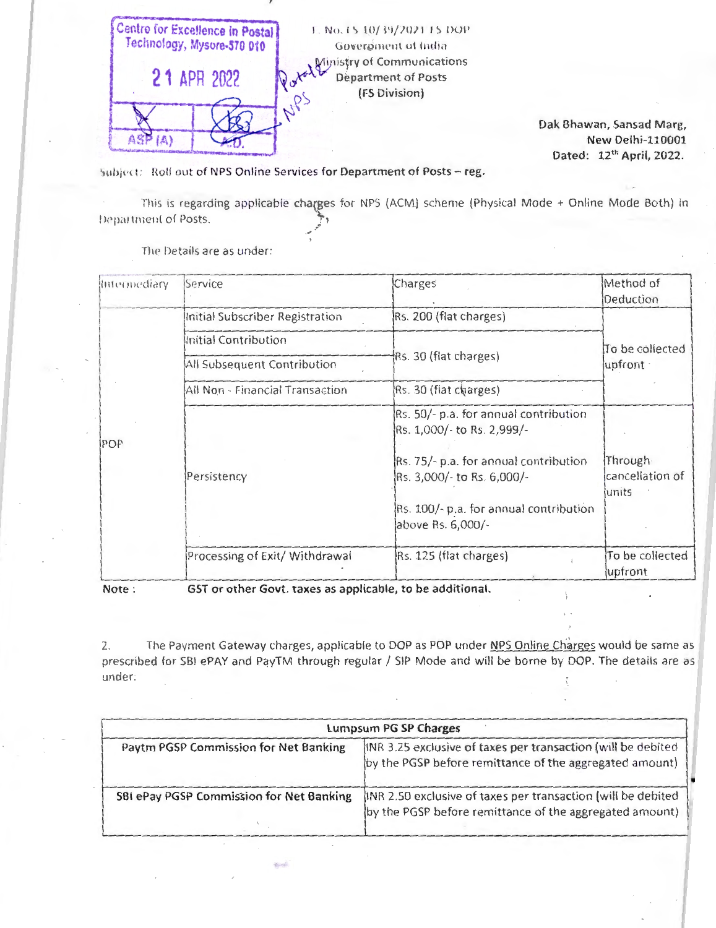

Dak Bhawan, Sansad Marg, **New Delhi-110001** Dated: 12th April, 2022.

Subject: Roll out of NPS Online Services for Department of Posts - reg.

This is regarding applicable charges for NPS (ACM) scheme (Physical Mode + Online Mode Both) in Department of Posts.

| Intermediary | Service                         | Charges                                                                                                                                                                                                   | Method of<br>Deduction              |
|--------------|---------------------------------|-----------------------------------------------------------------------------------------------------------------------------------------------------------------------------------------------------------|-------------------------------------|
| <b>POP</b>   | Initial Subscriber Registration | Rs. 200 (flat charges)                                                                                                                                                                                    | To be collected<br>upfront          |
|              | Initial Contribution            | Rs. 30 (flat charges)                                                                                                                                                                                     |                                     |
|              | All Subsequent Contribution     |                                                                                                                                                                                                           |                                     |
|              | All Non - Financial Transaction | Rs. 30 (flat charges)                                                                                                                                                                                     |                                     |
|              | Persistency                     | Rs. 50/- p.a. for annual contribution<br>Rs. 1,000/- to Rs. 2,999/-<br>Rs. 75/- p.a. for annual contribution<br>Rs. 3,000/- to Rs. 6,000/-<br>Rs. 100/- p.a. for annual contribution<br>above Rs. 6,000/- | Through<br>cancellation of<br>units |
|              | Processing of Exit/ Withdrawal  | Rs. 125 (flat charges)                                                                                                                                                                                    | To be collected<br>upfront          |

The Details are as under:

Note:

GST or other Govt, taxes as applicable, to be additional.

**Total** 

The Payment Gateway charges, applicable to DOP as POP under NPS Online Charges would be same as  $\mathfrak{I}$ prescribed for SBI ePAY and PayTM through regular / SIP Mode and will be borne by DOP. The details are as  $under<sub>1</sub>$ 

|                                          | Lumpsum PG SP Charges                                                                                                    |
|------------------------------------------|--------------------------------------------------------------------------------------------------------------------------|
| Paytm PGSP Commission for Net Banking    | lINR 3.25 exclusive of taxes per transaction (will be debited<br>by the PGSP before remittance of the aggregated amount) |
| SBI ePay PGSP Commission for Net Banking | INR 2.50 exclusive of taxes per transaction (will be debited<br>by the PGSP before remittance of the aggregated amount)  |